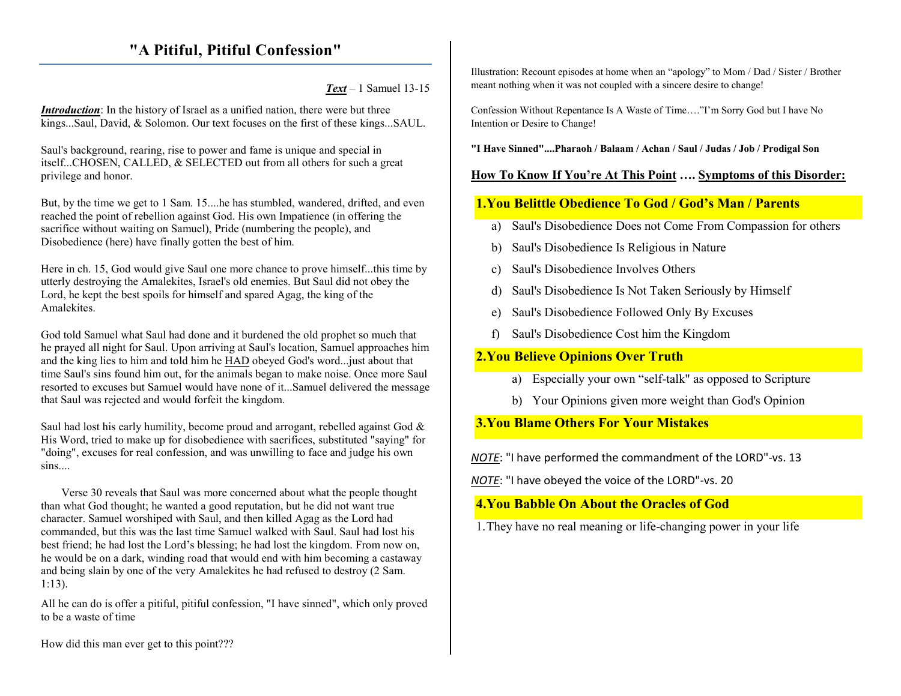# **"A Pitiful, Pitiful Confession"**

*Text* – 1 Samuel 13-15

*Introduction*: In the history of Israel as a unified nation, there were but three kings...Saul, David, & Solomon. Our text focuses on the first of these kings...SAUL.

Saul's background, rearing, rise to power and fame is unique and special in itself...CHOSEN, CALLED, & SELECTED out from all others for such a great privilege and honor.

But, by the time we get to 1 Sam. 15....he has stumbled, wandered, drifted, and even reached the point of rebellion against God. His own Impatience (in offering the sacrifice without waiting on Samuel), Pride (numbering the people), and Disobedience (here) have finally gotten the best of him.

Here in ch. 15, God would give Saul one more chance to prove himself...this time by utterly destroying the Amalekites, Israel's old enemies. But Saul did not obey the Lord, he kept the best spoils for himself and spared Agag, the king of the **Amalekites** 

God told Samuel what Saul had done and it burdened the old prophet so much that he prayed all night for Saul. Upon arriving at Saul's location, Samuel approaches him and the king lies to him and told him he HAD obeyed God's word...just about that time Saul's sins found him out, for the animals began to make noise. Once more Saul resorted to excuses but Samuel would have none of it...Samuel delivered the message that Saul was rejected and would forfeit the kingdom.

Saul had lost his early humility, become proud and arrogant, rebelled against God & His Word, tried to make up for disobedience with sacrifices, substituted "saying" for "doing", excuses for real confession, and was unwilling to face and judge his own sins....

Verse 30 reveals that Saul was more concerned about what the people thought than what God thought; he wanted a good reputation, but he did not want true character. Samuel worshiped with Saul, and then killed Agag as the Lord had commanded, but this was the last time Samuel walked with Saul. Saul had lost his best friend; he had lost the Lord's blessing; he had lost the kingdom. From now on, he would be on a dark, winding road that would end with him becoming a castaway and being slain by one of the very Amalekites he had refused to destroy (2 Sam. 1:13).

All he can do is offer a pitiful, pitiful confession, "I have sinned", which only proved to be a waste of time

Illustration: Recount episodes at home when an "apology" to Mom / Dad / Sister / Brother meant nothing when it was not coupled with a sincere desire to change!

Confession Without Repentance Is A Waste of Time…."I'm Sorry God but I have No Intention or Desire to Change!

**"I Have Sinned"....Pharaoh / Balaam / Achan / Saul / Judas / Job / Prodigal Son** 

### **How To Know If You're At This Point …. Symptoms of this Disorder:**

# **1.You Belittle Obedience To God / God's Man / Parents**

- a) Saul's Disobedience Does not Come From Compassion for others
- b)Saul's Disobedience Is Religious in Nature
- c) Saul's Disobedience Involves Others
- d) Saul's Disobedience Is Not Taken Seriously by Himself
- e)Saul's Disobedience Followed Only By Excuses
- f)Saul's Disobedience Cost him the Kingdom

#### **2.You Believe Opinions Over Truth**

- a) Especially your own "self-talk" as opposed to Scripture
- b) Your Opinions given more weight than God's Opinion

**3.You Blame Others For Your Mistakes** 

*NOTE*: "I have performed the commandment of the LORD"-vs. 13

*NOTE*: "I have obeyed the voice of the LORD"-vs. 20

# **4.You Babble On About the Oracles of God**

1.They have no real meaning or life-changing power in your life

How did this man ever get to this point???